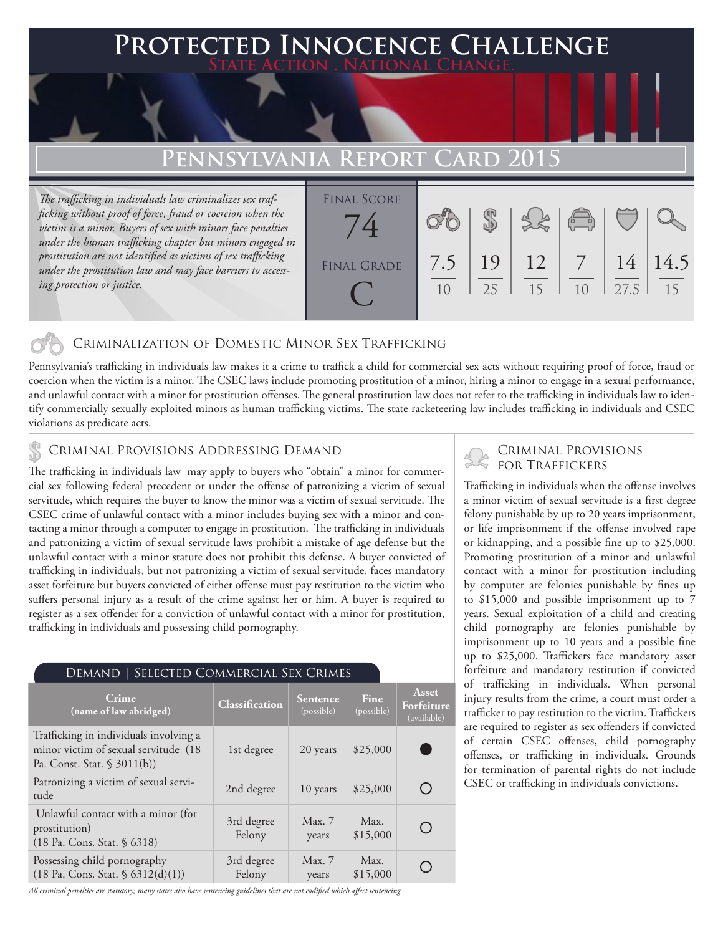## **FED INNOCENCE CHALLENGE State Action . National Change.**

## **Pennsylvania Report Card 2015**

*The trafficking in individuals law criminalizes sex trafficking without proof of force, fraud or coercion when the victim is a minor. Buyers of sex with minors face penalties under the human trafficking chapter but minors engaged in prostitution are not identified as victims of sex trafficking under the prostitution law and may face barriers to accessing protection or justice.*

| <b>FINAL SCORE</b> |     |    |    |                |      |      |
|--------------------|-----|----|----|----------------|------|------|
|                    |     |    |    | $\overline{C}$ |      |      |
|                    |     |    |    |                |      |      |
| <b>FINAL GRADE</b> | 7.5 | 19 | 12 |                | 14   | 14.5 |
|                    | 10  | 25 | 15 |                | 27.5 | 15   |
|                    |     |    |    |                |      |      |

#### Criminalization of Domestic Minor Sex Trafficking

Pennsylvania's trafficking in individuals law makes it a crime to traffick a child for commercial sex acts without requiring proof of force, fraud or coercion when the victim is a minor. The CSEC laws include promoting prostitution of a minor, hiring a minor to engage in a sexual performance, and unlawful contact with a minor for prostitution offenses. The general prostitution law does not refer to the trafficking in individuals law to identify commercially sexually exploited minors as human trafficking victims. The state racketeering law includes trafficking in individuals and CSEC violations as predicate acts.

# CRIMINAL PROVISIONS ADDRESSING DEMAND<br>The trefficking in individuals law, may analy to buyers who "obtain" a minor for commer.

The trafficking in individuals law may apply to buyers who "obtain" a minor for commercial sex following federal precedent or under the offense of patronizing a victim of sexual servitude, which requires the buyer to know the minor was a victim of sexual servitude. The CSEC crime of unlawful contact with a minor includes buying sex with a minor and contacting a minor through a computer to engage in prostitution. The trafficking in individuals and patronizing a victim of sexual servitude laws prohibit a mistake of age defense but the unlawful contact with a minor statute does not prohibit this defense. A buyer convicted of trafficking in individuals, but not patronizing a victim of sexual servitude, faces mandatory asset forfeiture but buyers convicted of either offense must pay restitution to the victim who suffers personal injury as a result of the crime against her or him. A buyer is required to register as a sex offender for a conviction of unlawful contact with a minor for prostitution, trafficking in individuals and possessing child pornography.

### Demand | Selected Commercial Sex Crimes

| Crime<br>(name of law abridged)                                                                               | Classification       | <b>Sentence</b><br>(possible) | Fine<br>(possible) | Asset<br>Forfeiture<br>(available) |
|---------------------------------------------------------------------------------------------------------------|----------------------|-------------------------------|--------------------|------------------------------------|
| Trafficking in individuals involving a<br>minor victim of sexual servitude (18<br>Pa. Const. Stat. $$3011(b)$ | 1st degree           | 20 years                      | \$25,000           |                                    |
| Patronizing a victim of sexual servi-<br>tude                                                                 | 2nd degree           | 10 years                      | \$25,000           | ( )                                |
| Unlawful contact with a minor (for<br>prostitution)<br>$(18 \text{ Pa.} \text{Cons.} \text{Stat.} \$ 6318)$   | 3rd degree<br>Felony | Max.7<br>years                | Max.<br>\$15,000   | ◯                                  |
| Possessing child pornography<br>$(18 \text{ Pa. Cons. Stat. } $6312(d)(1))$                                   | 3rd degree<br>Felony | Max. 7<br>years               | Max.<br>\$15,000   |                                    |

#### *All criminal penalties are statutory; many states also have sentencing guidelines that are not codified which affect sentencing.*

Trafficking in individuals when the offense involves a minor victim of sexual servitude is a first degree felony punishable by up to 20 years imprisonment, or life imprisonment if the offense involved rape or kidnapping, and a possible fine up to \$25,000. Promoting prostitution of a minor and unlawful contact with a minor for prostitution including by computer are felonies punishable by fines up to \$15,000 and possible imprisonment up to 7 years. Sexual exploitation of a child and creating child pornography are felonies punishable by imprisonment up to 10 years and a possible fine up to \$25,000. Traffickers face mandatory asset forfeiture and mandatory restitution if convicted of trafficking in individuals. When personal injury results from the crime, a court must order a trafficker to pay restitution to the victim. Traffickers are required to register as sex offenders if convicted of certain CSEC offenses, child pornography offenses, or trafficking in individuals. Grounds for termination of parental rights do not include CSEC or trafficking in individuals convictions.